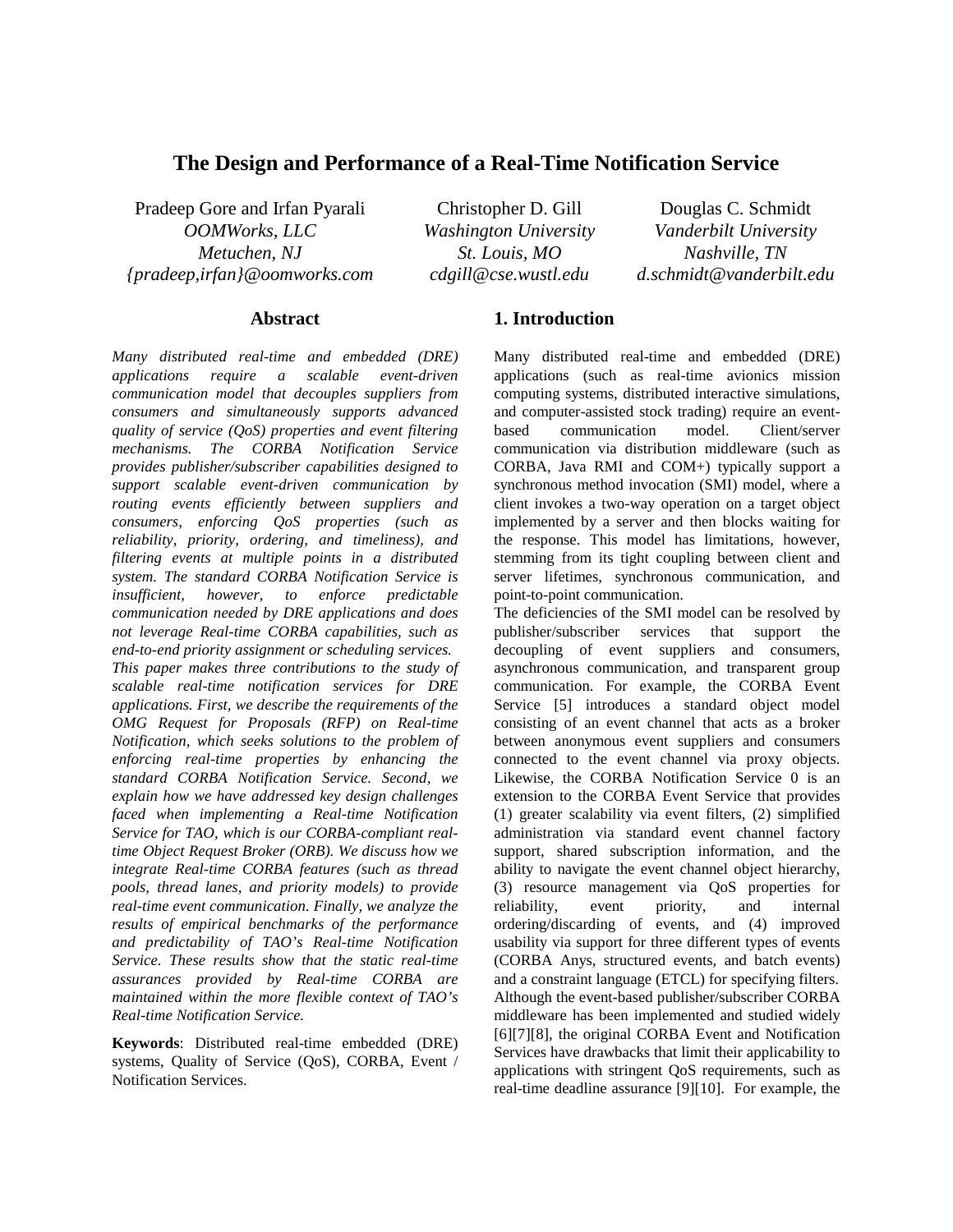# **The Design and Performance of a Real-Time Notification Service**

Pradeep Gore and Irfan Pyarali Christopher D. Gill Douglas C. Schmidt *OOMWorks, LLC Metuchen, NJ {pradeep,irfan}@oomworks.com cdgill@cse.wustl.edu d.schmidt@vanderbilt.edu*

*Washington University St. Louis, MO*

*Vanderbilt University Nashville, TN*

#### **Abstract**

*Many distributed real-time and embedded (DRE) applications require a scalable event-driven communication model that decouples suppliers from consumers and simultaneously supports advanced quality of service (QoS) properties and event filtering mechanisms. The CORBA Notification Service provides publisher/subscriber capabilities designed to support scalable event-driven communication by routing events efficiently between suppliers and consumers, enforcing QoS properties (such as reliability, priority, ordering, and timeliness), and filtering events at multiple points in a distributed system. The standard CORBA Notification Service is insufficient, however, to enforce predictable communication needed by DRE applications and does not leverage Real-time CORBA capabilities, such as end-to-end priority assignment or scheduling services. This paper makes three contributions to the study of scalable real-time notification services for DRE applications. First, we describe the requirements of the OMG Request for Proposals (RFP) on Real-time Notification, which seeks solutions to the problem of enforcing real-time properties by enhancing the standard CORBA Notification Service. Second, we explain how we have addressed key design challenges faced when implementing a Real-time Notification Service for TAO, which is our CORBA-compliant realtime Object Request Broker (ORB). We discuss how we integrate Real-time CORBA features (such as thread pools, thread lanes, and priority models) to provide real-time event communication. Finally, we analyze the results of empirical benchmarks of the performance and predictability of TAO's Real-time Notification Service. These results show that the static real-time assurances provided by Real-time CORBA are maintained within the more flexible context of TAO's Real-time Notification Service.*

**Keywords**: Distributed real-time embedded (DRE) systems, Quality of Service (QoS), CORBA, Event / Notification Services.

# **1. Introduction**

Many distributed real-time and embedded (DRE) applications (such as real-time avionics mission computing systems, distributed interactive simulations, and computer-assisted stock trading) require an eventbased communication model. Client/server communication via distribution middleware (such as CORBA, Java RMI and COM+) typically support a synchronous method invocation (SMI) model, where a client invokes a two-way operation on a target object implemented by a server and then blocks waiting for the response. This model has limitations, however, stemming from its tight coupling between client and server lifetimes, synchronous communication, and point-to-point communication.

The deficiencies of the SMI model can be resolved by publisher/subscriber services that support the decoupling of event suppliers and consumers, asynchronous communication, and transparent group communication. For example, the CORBA Event Service [5] introduces a standard object model consisting of an event channel that acts as a broker between anonymous event suppliers and consumers connected to the event channel via proxy objects. Likewise, the CORBA Notification Service 0 is an extension to the CORBA Event Service that provides (1) greater scalability via event filters, (2) simplified administration via standard event channel factory support, shared subscription information, and the ability to navigate the event channel object hierarchy, (3) resource management via QoS properties for reliability, event priority, and internal ordering/discarding of events, and (4) improved usability via support for three different types of events (CORBA Anys, structured events, and batch events) and a constraint language (ETCL) for specifying filters. Although the event-based publisher/subscriber CORBA middleware has been implemented and studied widely [6][7][8], the original CORBA Event and Notification Services have drawbacks that limit their applicability to applications with stringent QoS requirements, such as real-time deadline assurance [9][10]. For example, the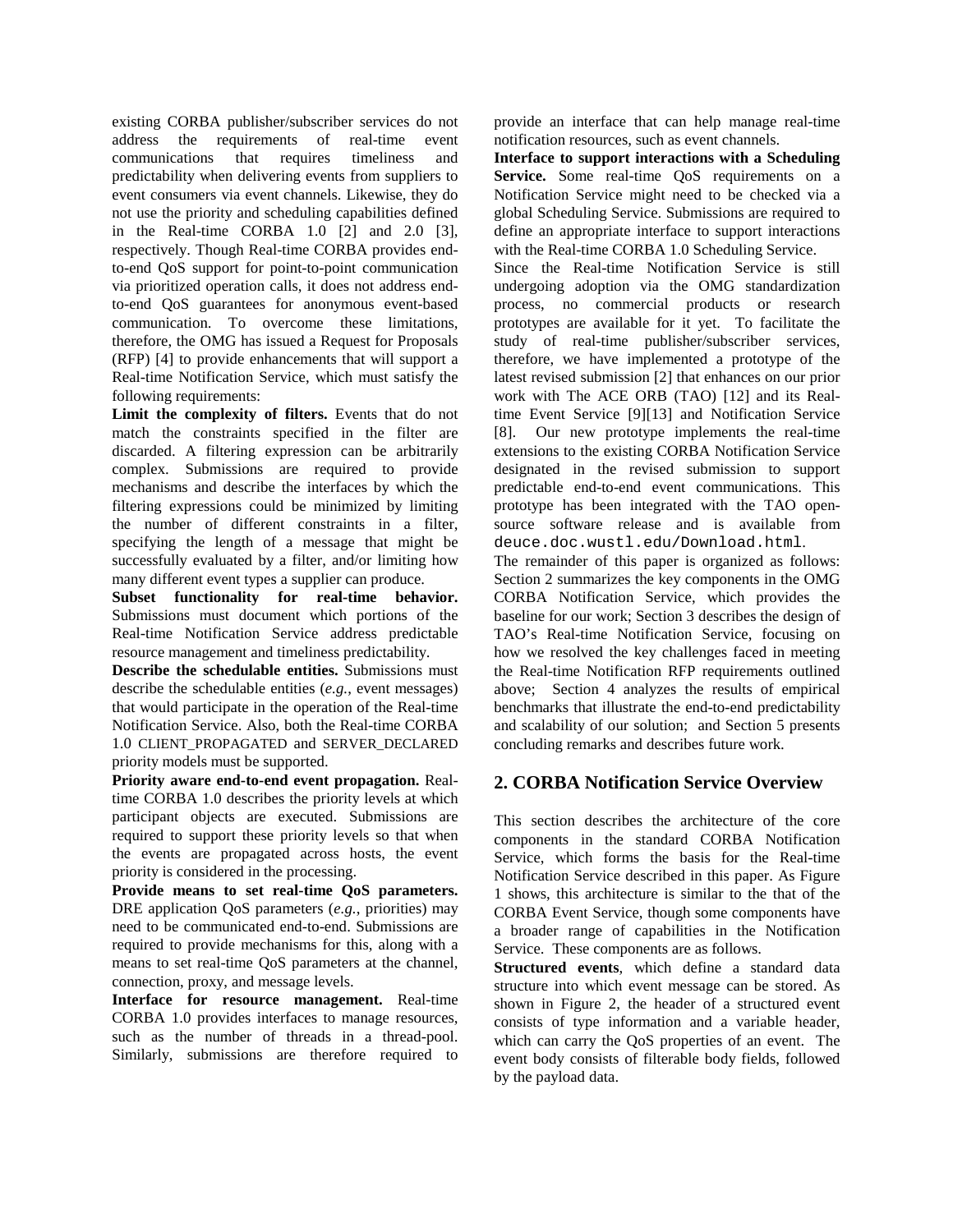existing CORBA publisher/subscriber services do not address the requirements of real-time event communications that requires timeliness and predictability when delivering events from suppliers to event consumers via event channels. Likewise, they do not use the priority and scheduling capabilities defined in the Real-time CORBA 1.0 [2] and 2.0 [3], respectively. Though Real-time CORBA provides endto-end QoS support for point-to-point communication via prioritized operation calls, it does not address endto-end QoS guarantees for anonymous event-based communication. To overcome these limitations, therefore, the OMG has issued a Request for Proposals (RFP) [4] to provide enhancements that will support a Real-time Notification Service, which must satisfy the following requirements:

**Limit the complexity of filters.** Events that do not match the constraints specified in the filter are discarded. A filtering expression can be arbitrarily complex. Submissions are required to provide mechanisms and describe the interfaces by which the filtering expressions could be minimized by limiting the number of different constraints in a filter, specifying the length of a message that might be successfully evaluated by a filter, and/or limiting how many different event types a supplier can produce.

**Subset functionality for real-time behavior.** Submissions must document which portions of the Real-time Notification Service address predictable resource management and timeliness predictability.

**Describe the schedulable entities.** Submissions must describe the schedulable entities (*e.g.*, event messages) that would participate in the operation of the Real-time Notification Service. Also, both the Real-time CORBA 1.0 CLIENT\_PROPAGATED and SERVER\_DECLARED priority models must be supported.

**Priority aware end-to-end event propagation.** Realtime CORBA 1.0 describes the priority levels at which participant objects are executed. Submissions are required to support these priority levels so that when the events are propagated across hosts, the event priority is considered in the processing.

**Provide means to set real-time QoS parameters.** DRE application QoS parameters (*e.g.*, priorities) may need to be communicated end-to-end. Submissions are required to provide mechanisms for this, along with a means to set real-time QoS parameters at the channel, connection, proxy, and message levels.

**Interface for resource management.** Real-time CORBA 1.0 provides interfaces to manage resources, such as the number of threads in a thread-pool. Similarly, submissions are therefore required to

provide an interface that can help manage real-time notification resources, such as event channels.

**Interface to support interactions with a Scheduling Service.** Some real-time QoS requirements on a Notification Service might need to be checked via a global Scheduling Service. Submissions are required to define an appropriate interface to support interactions with the Real-time CORBA 1.0 Scheduling Service.

Since the Real-time Notification Service is still undergoing adoption via the OMG standardization process, no commercial products or research prototypes are available for it yet. To facilitate the study of real-time publisher/subscriber services, therefore, we have implemented a prototype of the latest revised submission [2] that enhances on our prior work with The ACE ORB (TAO) [12] and its Realtime Event Service [9][13] and Notification Service [8]. Our new prototype implements the real-time extensions to the existing CORBA Notification Service designated in the revised submission to support predictable end-to-end event communications. This prototype has been integrated with the TAO opensource software release and is available from deuce.doc.wustl.edu/Download.html.

The remainder of this paper is organized as follows: Section 2 summarizes the key components in the OMG CORBA Notification Service, which provides the baseline for our work; Section 3 describes the design of TAO's Real-time Notification Service, focusing on how we resolved the key challenges faced in meeting the Real-time Notification RFP requirements outlined above; Section 4 analyzes the results of empirical benchmarks that illustrate the end-to-end predictability and scalability of our solution; and Section 5 presents concluding remarks and describes future work.

# **2. CORBA Notification Service Overview**

This section describes the architecture of the core components in the standard CORBA Notification Service, which forms the basis for the Real-time Notification Service described in this paper. As Figure 1 shows, this architecture is similar to the that of the CORBA Event Service, though some components have a broader range of capabilities in the Notification Service. These components are as follows.

**Structured events**, which define a standard data structure into which event message can be stored. As shown in Figure 2, the header of a structured event consists of type information and a variable header, which can carry the QoS properties of an event. The event body consists of filterable body fields, followed by the payload data.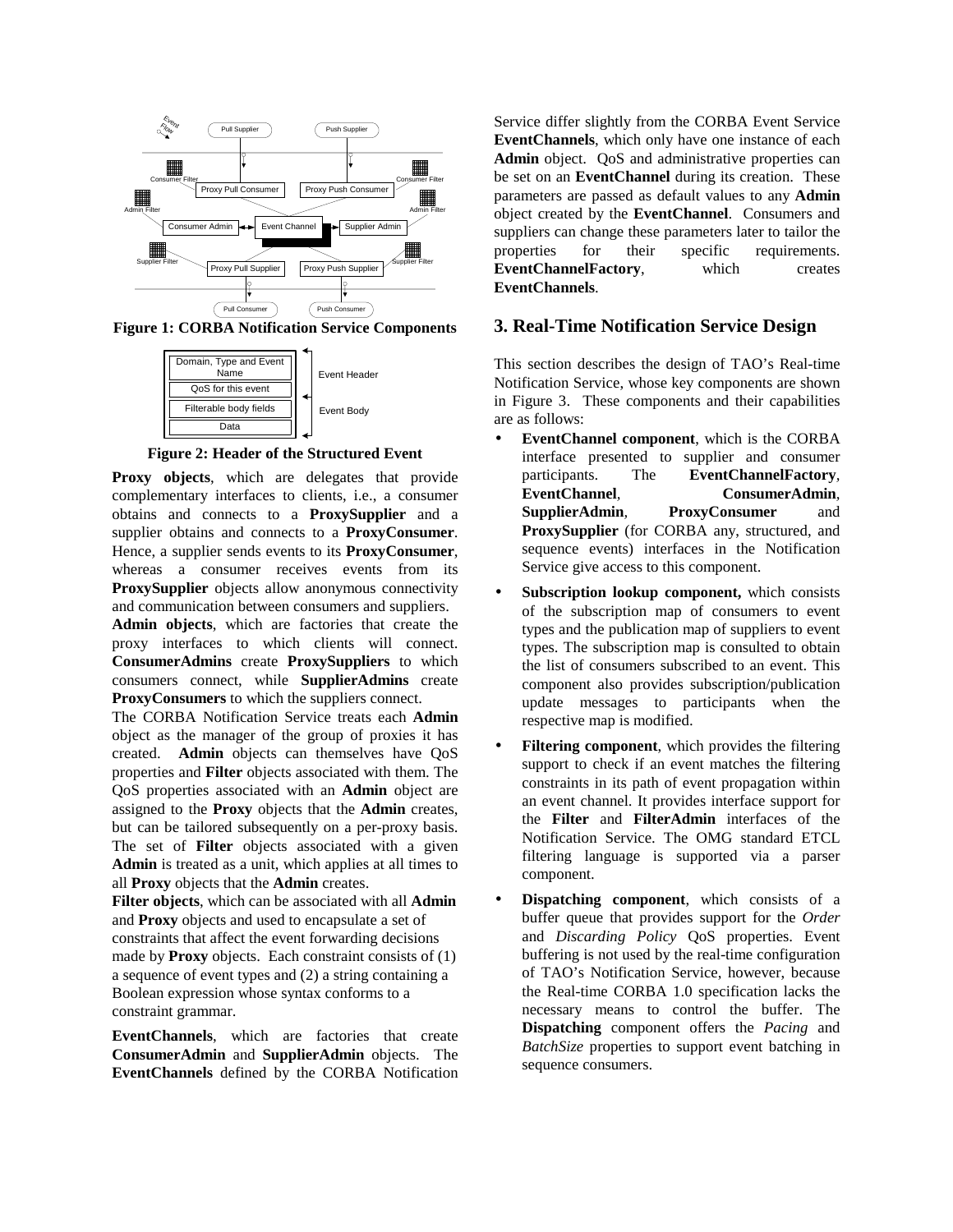

**Figure 1: CORBA Notification Service Components**



**Figure 2: Header of the Structured Event**

**Proxy objects**, which are delegates that provide complementary interfaces to clients, i.e., a consumer obtains and connects to a **ProxySupplier** and a supplier obtains and connects to a **ProxyConsumer**. Hence, a supplier sends events to its **ProxyConsumer**, whereas a consumer receives events from its **ProxySupplier** objects allow anonymous connectivity and communication between consumers and suppliers.

**Admin objects**, which are factories that create the proxy interfaces to which clients will connect. **ConsumerAdmins** create **ProxySuppliers** to which consumers connect, while **SupplierAdmins** create **ProxyConsumers** to which the suppliers connect.

The CORBA Notification Service treats each **Admin** object as the manager of the group of proxies it has created. **Admin** objects can themselves have QoS properties and **Filter** objects associated with them. The QoS properties associated with an **Admin** object are assigned to the **Proxy** objects that the **Admin** creates, but can be tailored subsequently on a per-proxy basis. The set of **Filter** objects associated with a given **Admin** is treated as a unit, which applies at all times to all **Proxy** objects that the **Admin** creates.

**Filter objects**, which can be associated with all **Admin** and **Proxy** objects and used to encapsulate a set of constraints that affect the event forwarding decisions made by **Proxy** objects. Each constraint consists of (1) a sequence of event types and (2) a string containing a Boolean expression whose syntax conforms to a constraint grammar.

**EventChannels**, which are factories that create **ConsumerAdmin** and **SupplierAdmin** objects. The **EventChannels** defined by the CORBA Notification

Service differ slightly from the CORBA Event Service **EventChannels**, which only have one instance of each **Admin** object. QoS and administrative properties can be set on an **EventChannel** during its creation. These parameters are passed as default values to any **Admin** object created by the **EventChannel**. Consumers and suppliers can change these parameters later to tailor the properties for their specific requirements. **EventChannelFactory,** which creates **EventChannels**.

# **3. Real-Time Notification Service Design**

This section describes the design of TAO's Real-time Notification Service, whose key components are shown in Figure 3. These components and their capabilities are as follows:

- **EventChannel component**, which is the CORBA interface presented to supplier and consumer participants. The **EventChannelFactory***,* **EventChannel***,* **ConsumerAdmin***,* **SupplierAdmin***,* **ProxyConsumer** and **ProxySupplier** (for CORBA any, structured, and sequence events) interfaces in the Notification Service give access to this component.
- **Subscription lookup component,** which consists of the subscription map of consumers to event types and the publication map of suppliers to event types. The subscription map is consulted to obtain the list of consumers subscribed to an event. This component also provides subscription/publication update messages to participants when the respective map is modified.
- **Filtering component**, which provides the filtering support to check if an event matches the filtering constraints in its path of event propagation within an event channel. It provides interface support for the **Filter** and **FilterAdmin** interfaces of the Notification Service. The OMG standard ETCL filtering language is supported via a parser component.
- **Dispatching component**, which consists of a buffer queue that provides support for the *Order* and *Discarding Policy* QoS properties. Event buffering is not used by the real-time configuration of TAO's Notification Service, however, because the Real-time CORBA 1.0 specification lacks the necessary means to control the buffer. The **Dispatching** component offers the *Pacing* and *BatchSize* properties to support event batching in sequence consumers.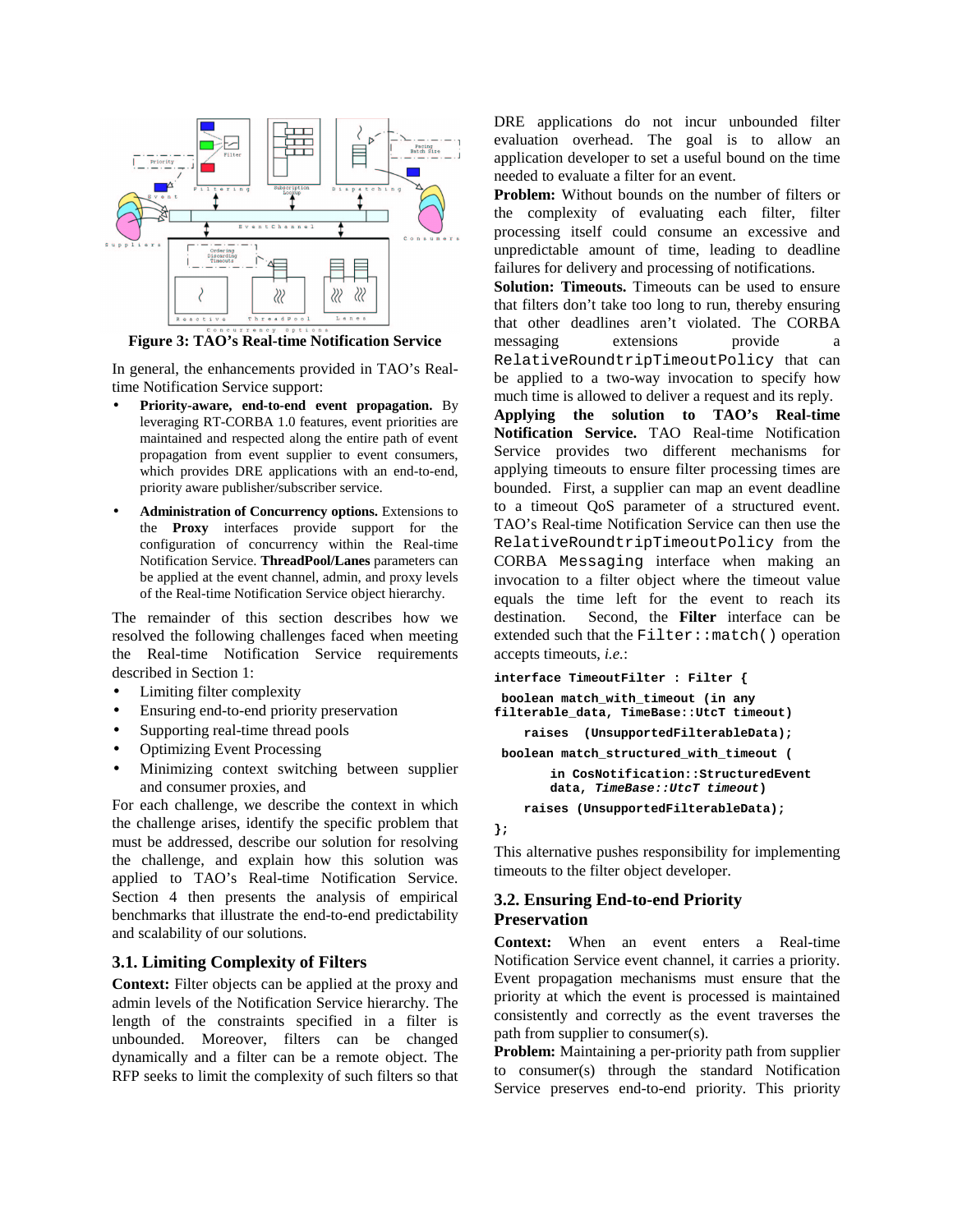

**Figure 3: TAO's Real-time Notification Service**

In general, the enhancements provided in TAO's Realtime Notification Service support:

- **Priority-aware, end-to-end event propagation.** By leveraging RT-CORBA 1.0 features, event priorities are maintained and respected along the entire path of event propagation from event supplier to event consumers, which provides DRE applications with an end-to-end, priority aware publisher/subscriber service.
- **Administration of Concurrency options.** Extensions to the **Proxy** interfaces provide support for the configuration of concurrency within the Real-time Notification Service. **ThreadPool/Lanes** parameters can be applied at the event channel, admin, and proxy levels of the Real-time Notification Service object hierarchy.

The remainder of this section describes how we resolved the following challenges faced when meeting the Real-time Notification Service requirements described in Section 1:

- Limiting filter complexity
- Ensuring end-to-end priority preservation
- Supporting real-time thread pools
- Optimizing Event Processing
- Minimizing context switching between supplier and consumer proxies, and

For each challenge, we describe the context in which the challenge arises, identify the specific problem that must be addressed, describe our solution for resolving the challenge, and explain how this solution was applied to TAO's Real-time Notification Service. Section 4 then presents the analysis of empirical benchmarks that illustrate the end-to-end predictability and scalability of our solutions.

# **3.1. Limiting Complexity of Filters**

**Context:** Filter objects can be applied at the proxy and admin levels of the Notification Service hierarchy. The length of the constraints specified in a filter is unbounded. Moreover, filters can be changed dynamically and a filter can be a remote object. The RFP seeks to limit the complexity of such filters so that DRE applications do not incur unbounded filter evaluation overhead. The goal is to allow an application developer to set a useful bound on the time needed to evaluate a filter for an event.

**Problem:** Without bounds on the number of filters or the complexity of evaluating each filter, filter processing itself could consume an excessive and unpredictable amount of time, leading to deadline failures for delivery and processing of notifications.

**Solution: Timeouts.** Timeouts can be used to ensure that filters don't take too long to run, thereby ensuring that other deadlines aren't violated. The CORBA messaging extensions provide a RelativeRoundtripTimeoutPolicy that can be applied to a two-way invocation to specify how much time is allowed to deliver a request and its reply.

**Applying the solution to TAO's Real-time Notification Service.** TAO Real-time Notification Service provides two different mechanisms for applying timeouts to ensure filter processing times are bounded. First, a supplier can map an event deadline to a timeout QoS parameter of a structured event. TAO's Real-time Notification Service can then use the RelativeRoundtripTimeoutPolicy from the CORBA Messaging interface when making an invocation to a filter object where the timeout value equals the time left for the event to reach its destination. Second, the **Filter** interface can be extended such that the  $Filter::match()$  operation accepts timeouts, *i.e.*:

```
interface TimeoutFilter : Filter {
```
**boolean match\_with\_timeout (in any filterable\_data, TimeBase::UtcT timeout)**

**raises (UnsupportedFilterableData);**

```
boolean match_structured_with_timeout (
```
**in CosNotification::StructuredEvent data, TimeBase::UtcT timeout)**

```
raises (UnsupportedFilterableData);
```
**};**

This alternative pushes responsibility for implementing timeouts to the filter object developer.

### **3.2. Ensuring End-to-end Priority Preservation**

**Context:** When an event enters a Real-time Notification Service event channel, it carries a priority. Event propagation mechanisms must ensure that the priority at which the event is processed is maintained consistently and correctly as the event traverses the path from supplier to consumer(s).

**Problem:** Maintaining a per-priority path from supplier to consumer(s) through the standard Notification Service preserves end-to-end priority. This priority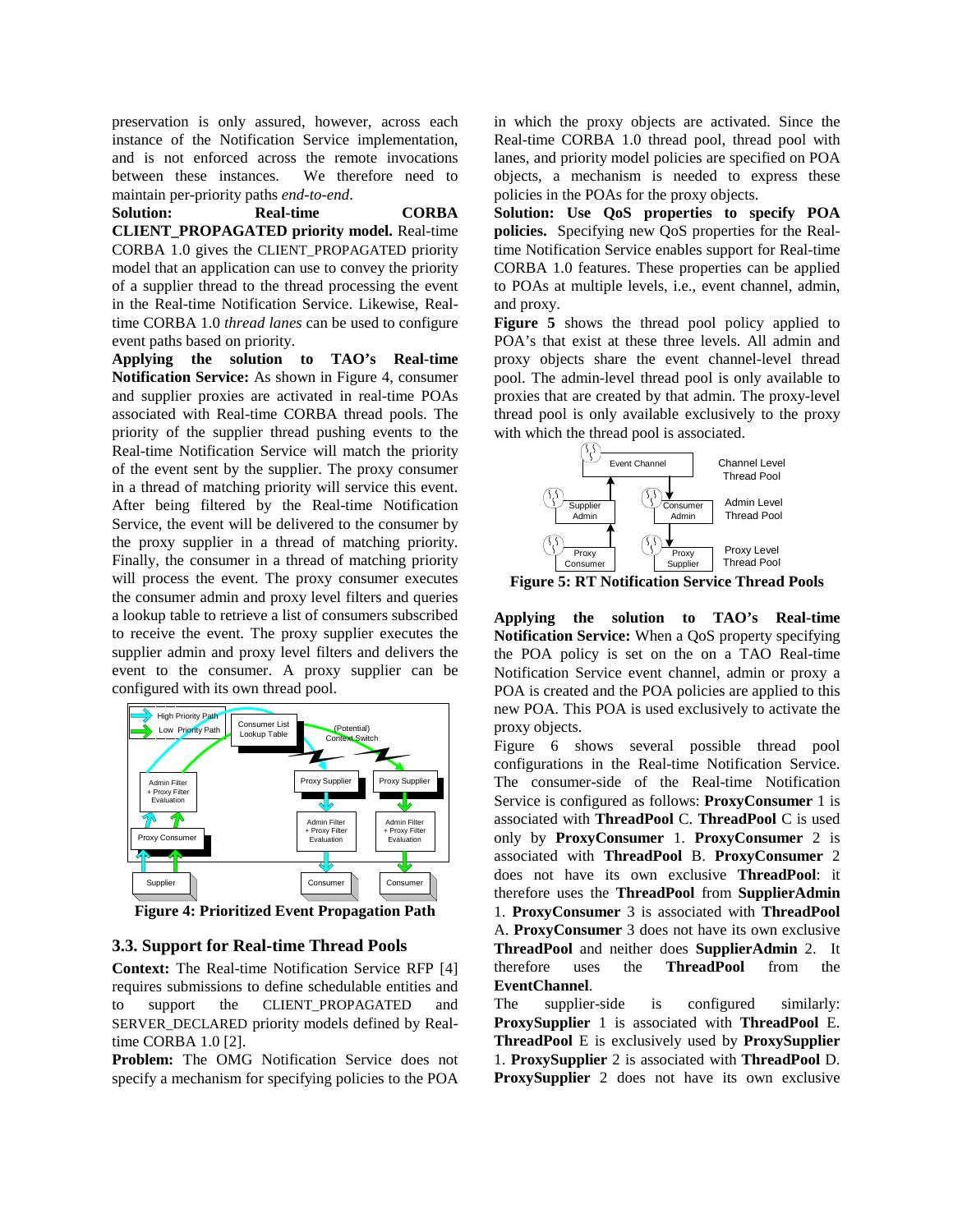preservation is only assured, however, across each instance of the Notification Service implementation, and is not enforced across the remote invocations between these instances. We therefore need to maintain per-priority paths *end-to-end*.

**Solution: Real-time CORBA CLIENT\_PROPAGATED priority model.** Real-time CORBA 1.0 gives the CLIENT\_PROPAGATED priority model that an application can use to convey the priority of a supplier thread to the thread processing the event in the Real-time Notification Service. Likewise, Realtime CORBA 1.0 *thread lanes* can be used to configure event paths based on priority.

**Applying the solution to TAO's Real-time Notification Service:** As shown in Figure 4, consumer and supplier proxies are activated in real-time POAs associated with Real-time CORBA thread pools. The priority of the supplier thread pushing events to the Real-time Notification Service will match the priority of the event sent by the supplier. The proxy consumer in a thread of matching priority will service this event. After being filtered by the Real-time Notification Service, the event will be delivered to the consumer by the proxy supplier in a thread of matching priority. Finally, the consumer in a thread of matching priority will process the event. The proxy consumer executes the consumer admin and proxy level filters and queries a lookup table to retrieve a list of consumers subscribed to receive the event. The proxy supplier executes the supplier admin and proxy level filters and delivers the event to the consumer. A proxy supplier can be configured with its own thread pool.



**Figure 4: Prioritized Event Propagation Path**

# **3.3. Support for Real-time Thread Pools**

**Context:** The Real-time Notification Service RFP [4] requires submissions to define schedulable entities and to support the CLIENT\_PROPAGATED and SERVER DECLARED priority models defined by Realtime CORBA 1.0 [2].

**Problem:** The OMG Notification Service does not specify a mechanism for specifying policies to the POA in which the proxy objects are activated. Since the Real-time CORBA 1.0 thread pool, thread pool with lanes, and priority model policies are specified on POA objects, a mechanism is needed to express these policies in the POAs for the proxy objects.

**Solution: Use QoS properties to specify POA policies.** Specifying new QoS properties for the Realtime Notification Service enables support for Real-time CORBA 1.0 features. These properties can be applied to POAs at multiple levels, i.e., event channel, admin, and proxy.

**Figure 5** shows the thread pool policy applied to POA's that exist at these three levels. All admin and proxy objects share the event channel-level thread pool. The admin-level thread pool is only available to proxies that are created by that admin. The proxy-level thread pool is only available exclusively to the proxy with which the thread pool is associated.



**Figure 5: RT Notification Service Thread Pools**

**Applying the solution to TAO's Real-time Notification Service:** When a QoS property specifying the POA policy is set on the on a TAO Real-time Notification Service event channel, admin or proxy a POA is created and the POA policies are applied to this new POA. This POA is used exclusively to activate the proxy objects.

Figure 6 shows several possible thread pool configurations in the Real-time Notification Service. The consumer**-**side of the Real-time Notification Service is configured as follows: **ProxyConsumer** 1 is associated with **ThreadPool** C. **ThreadPool** C is used only by **ProxyConsumer** 1. **ProxyConsumer** 2 is associated with **ThreadPool** B. **ProxyConsumer** 2 does not have its own exclusive **ThreadPool**: it therefore uses the **ThreadPool** from **SupplierAdmin** 1. **ProxyConsumer** 3 is associated with **ThreadPool** A. **ProxyConsumer** 3 does not have its own exclusive **ThreadPool** and neither does **SupplierAdmin** 2. It therefore uses the **ThreadPool** from the **EventChannel**.

The supplier-side is configured similarly: **ProxySupplier** 1 is associated with **ThreadPool** E. **ThreadPool** E is exclusively used by **ProxySupplier** 1. **ProxySupplier** 2 is associated with **ThreadPool** D. **ProxySupplier** 2 does not have its own exclusive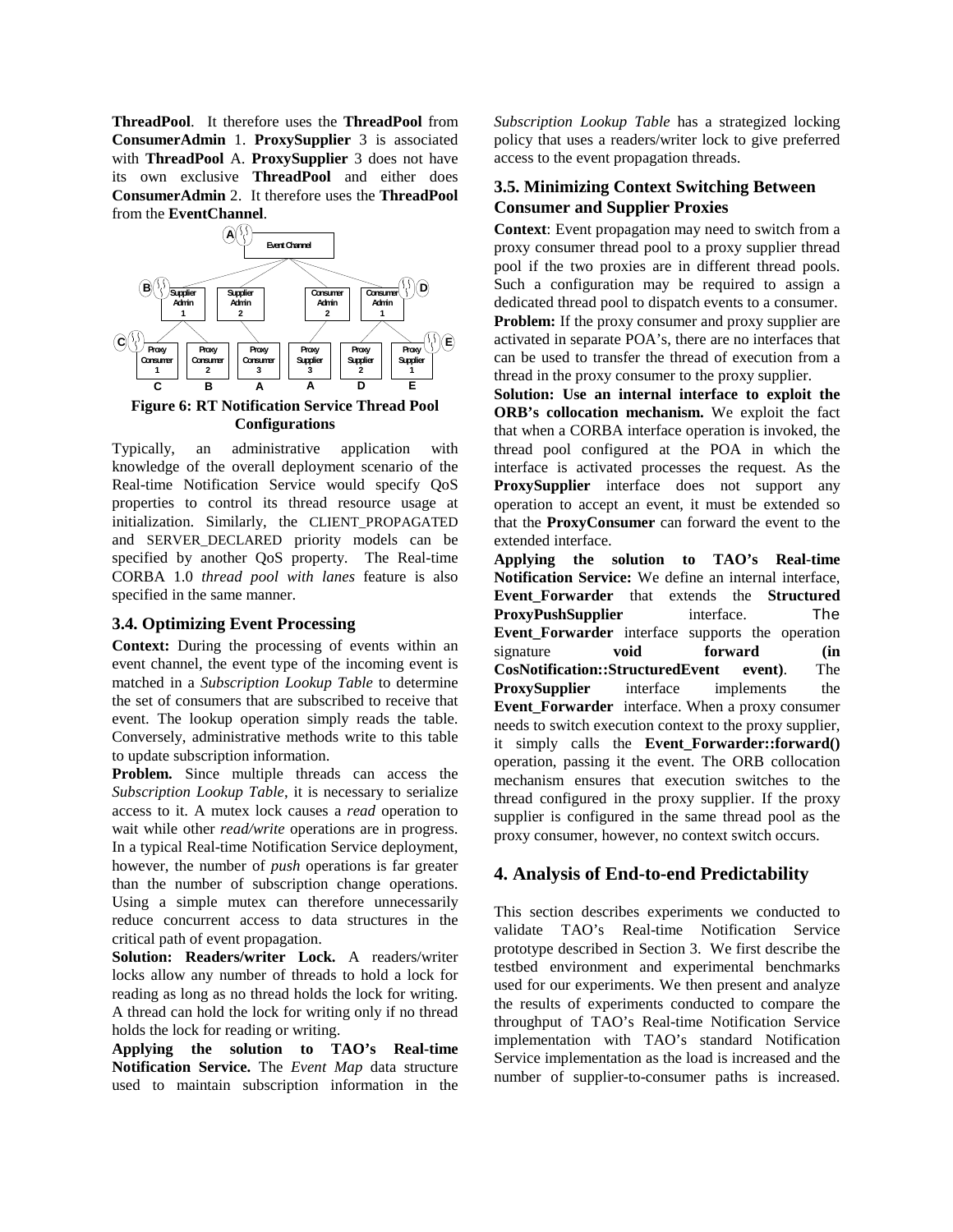**ThreadPool**. It therefore uses the **ThreadPool** from **ConsumerAdmin** 1. **ProxySupplier** 3 is associated with **ThreadPool** A. **ProxySupplier** 3 does not have its own exclusive **ThreadPool** and either does **ConsumerAdmin** 2. It therefore uses the **ThreadPool** from the **EventChannel**.



Typically, an administrative application with knowledge of the overall deployment scenario of the Real-time Notification Service would specify QoS properties to control its thread resource usage at initialization. Similarly, the CLIENT\_PROPAGATED and SERVER\_DECLARED priority models can be specified by another QoS property. The Real-time CORBA 1.0 *thread pool with lanes* feature is also specified in the same manner.

### **3.4. Optimizing Event Processing**

**Context:** During the processing of events within an event channel, the event type of the incoming event is matched in a *Subscription Lookup Table* to determine the set of consumers that are subscribed to receive that event. The lookup operation simply reads the table. Conversely, administrative methods write to this table to update subscription information.

**Problem.** Since multiple threads can access the *Subscription Lookup Table*, it is necessary to serialize access to it. A mutex lock causes a *read* operation to wait while other *read/write* operations are in progress. In a typical Real-time Notification Service deployment, however, the number of *push* operations is far greater than the number of subscription change operations. Using a simple mutex can therefore unnecessarily reduce concurrent access to data structures in the critical path of event propagation.

**Solution: Readers/writer Lock.** A readers/writer locks allow any number of threads to hold a lock for reading as long as no thread holds the lock for writing. A thread can hold the lock for writing only if no thread holds the lock for reading or writing.

**Applying the solution to TAO's Real-time Notification Service.** The *Event Map* data structure used to maintain subscription information in the *Subscription Lookup Table* has a strategized locking policy that uses a readers/writer lock to give preferred access to the event propagation threads.

# **3.5. Minimizing Context Switching Between Consumer and Supplier Proxies**

**Context**: Event propagation may need to switch from a proxy consumer thread pool to a proxy supplier thread pool if the two proxies are in different thread pools. Such a configuration may be required to assign a dedicated thread pool to dispatch events to a consumer. **Problem:** If the proxy consumer and proxy supplier are activated in separate POA's, there are no interfaces that can be used to transfer the thread of execution from a thread in the proxy consumer to the proxy supplier.

**Solution: Use an internal interface to exploit the ORB's collocation mechanism.** We exploit the fact that when a CORBA interface operation is invoked, the thread pool configured at the POA in which the interface is activated processes the request. As the **ProxySupplier** interface does not support any operation to accept an event, it must be extended so that the **ProxyConsumer** can forward the event to the extended interface.

**Applying the solution to TAO's Real-time Notification Service:** We define an internal interface, **Event\_Forwarder** that extends the **Structured ProxyPushSupplier** interface. The **Event Forwarder** interface supports the operation signature **void forward (in CosNotification::StructuredEvent event)**. The **ProxySupplier** interface implements the **Event Forwarder** interface. When a proxy consumer needs to switch execution context to the proxy supplier, it simply calls the **Event\_Forwarder::forward()** operation, passing it the event. The ORB collocation mechanism ensures that execution switches to the thread configured in the proxy supplier. If the proxy supplier is configured in the same thread pool as the proxy consumer, however, no context switch occurs.

# **4. Analysis of End-to-end Predictability**

This section describes experiments we conducted to validate TAO's Real-time Notification Service prototype described in Section 3. We first describe the testbed environment and experimental benchmarks used for our experiments. We then present and analyze the results of experiments conducted to compare the throughput of TAO's Real-time Notification Service implementation with TAO's standard Notification Service implementation as the load is increased and the number of supplier-to-consumer paths is increased.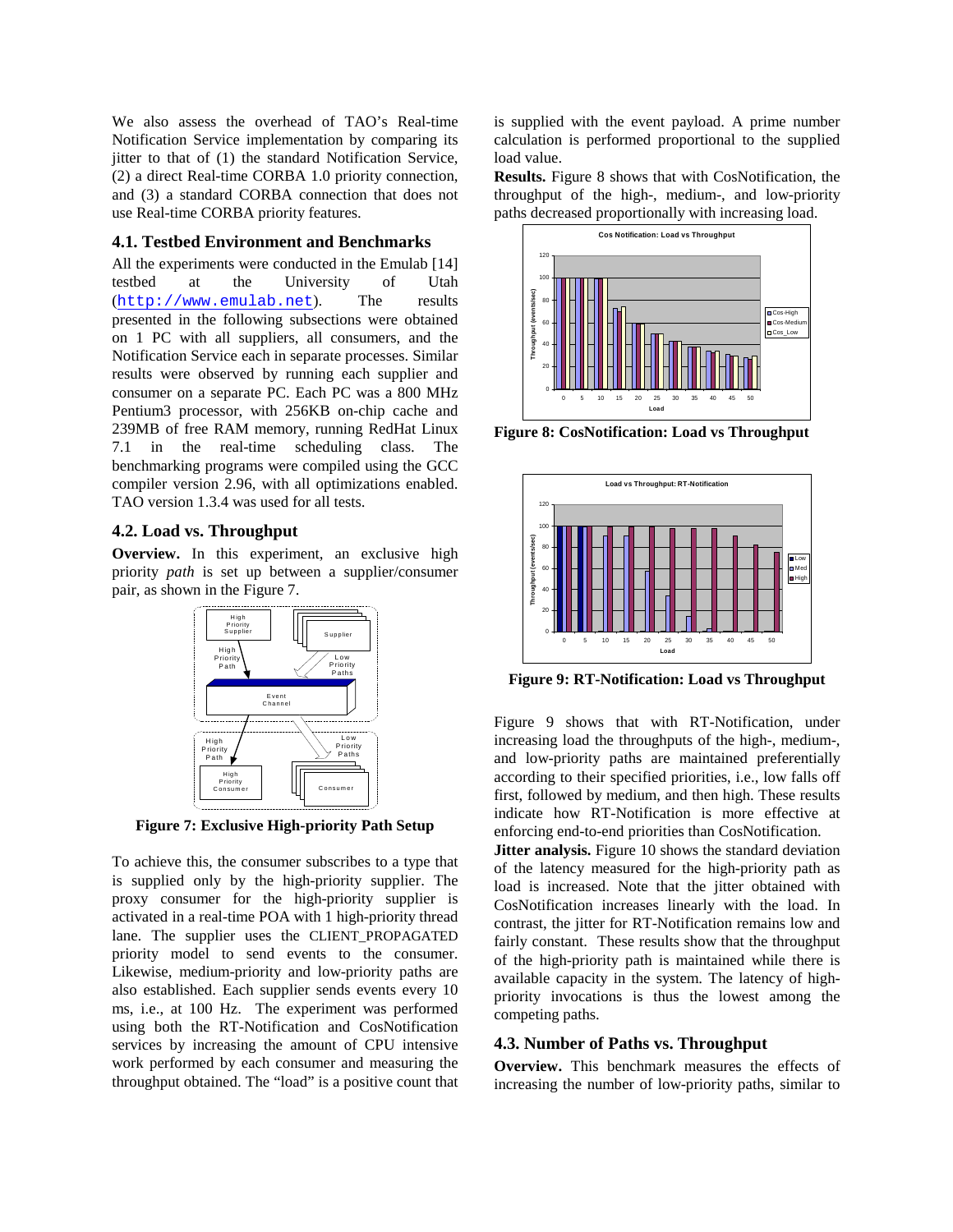We also assess the overhead of TAO's Real-time Notification Service implementation by comparing its jitter to that of (1) the standard Notification Service, (2) a direct Real-time CORBA 1.0 priority connection, and (3) a standard CORBA connection that does not use Real-time CORBA priority features.

#### **4.1. Testbed Environment and Benchmarks**

All the experiments were conducted in the Emulab [14] testbed at the University of Utah (http://www.emulab.net). The results presented in the following subsections were obtained on 1 PC with all suppliers, all consumers, and the Notification Service each in separate processes. Similar results were observed by running each supplier and consumer on a separate PC. Each PC was a 800 MHz Pentium3 processor, with 256KB on-chip cache and 239MB of free RAM memory, running RedHat Linux 7.1 in the real-time scheduling class. The benchmarking programs were compiled using the GCC compiler version 2.96, with all optimizations enabled. TAO version 1.3.4 was used for all tests.

# **4.2. Load vs. Throughput**

**Overview.** In this experiment, an exclusive high priority *path* is set up between a supplier/consumer pair, as shown in the Figure 7.



**Figure 7: Exclusive High-priority Path Setup**

To achieve this, the consumer subscribes to a type that is supplied only by the high-priority supplier. The proxy consumer for the high-priority supplier is activated in a real-time POA with 1 high-priority thread lane. The supplier uses the CLIENT\_PROPAGATED priority model to send events to the consumer. Likewise, medium-priority and low-priority paths are also established. Each supplier sends events every 10 ms, i.e., at 100 Hz. The experiment was performed using both the RT-Notification and CosNotification services by increasing the amount of CPU intensive work performed by each consumer and measuring the throughput obtained. The "load" is a positive count that is supplied with the event payload. A prime number calculation is performed proportional to the supplied load value.

**Results.** Figure 8 shows that with CosNotification, the throughput of the high-, medium-, and low-priority paths decreased proportionally with increasing load.



**Figure 8: CosNotification: Load vs Throughput**



**Figure 9: RT-Notification: Load vs Throughput**

Figure 9 shows that with RT-Notification, under increasing load the throughputs of the high-, medium-, and low-priority paths are maintained preferentially according to their specified priorities, i.e., low falls off first, followed by medium, and then high. These results indicate how RT-Notification is more effective at enforcing end-to-end priorities than CosNotification.

**Jitter analysis.** Figure 10 shows the standard deviation of the latency measured for the high-priority path as load is increased. Note that the jitter obtained with CosNotification increases linearly with the load. In contrast, the jitter for RT-Notification remains low and fairly constant. These results show that the throughput of the high-priority path is maintained while there is available capacity in the system. The latency of highpriority invocations is thus the lowest among the competing paths.

# **4.3. Number of Paths vs. Throughput**

**Overview.** This benchmark measures the effects of increasing the number of low-priority paths, similar to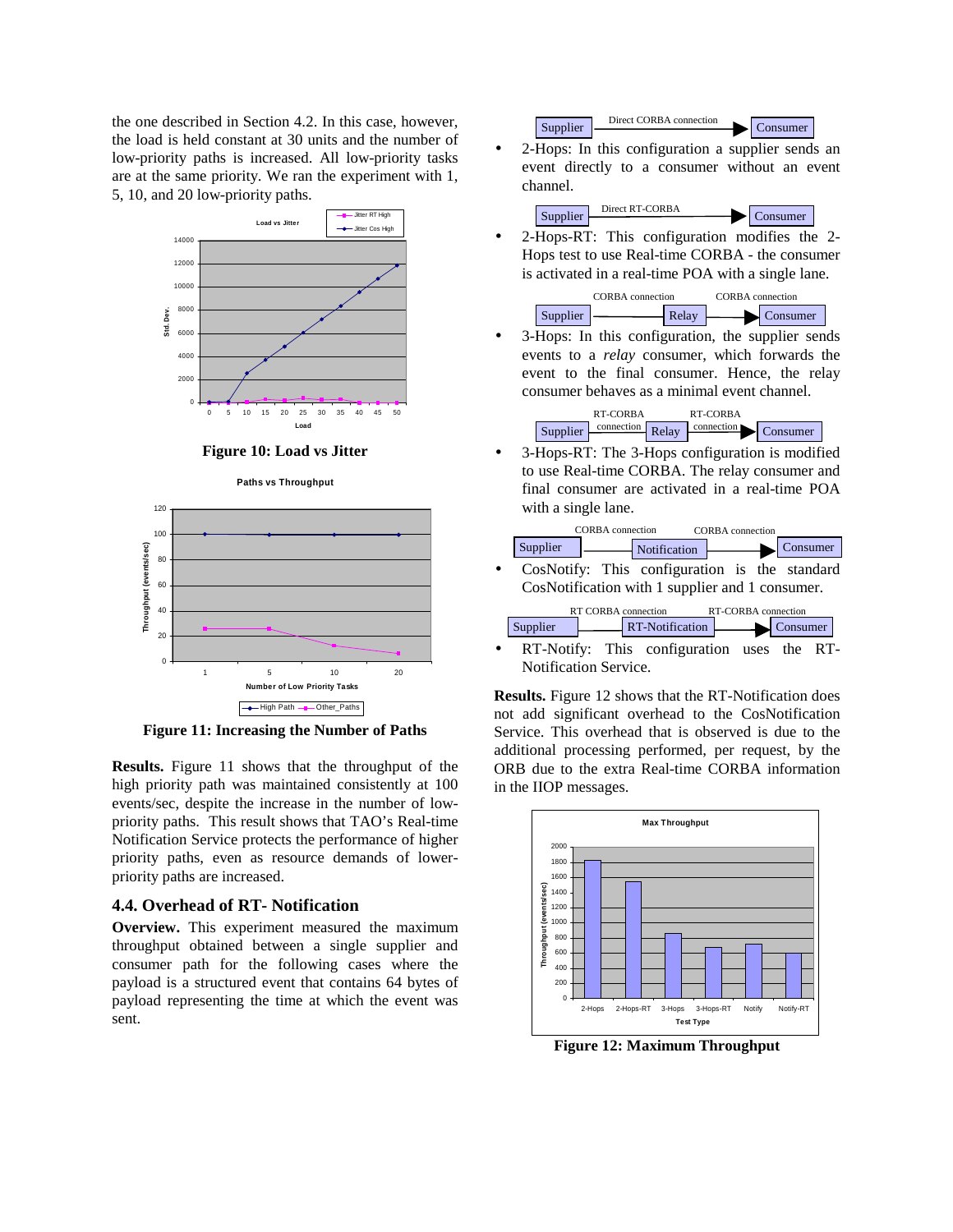the one described in Section 4.2. In this case, however, the load is held constant at 30 units and the number of low-priority paths is increased. All low-priority tasks are at the same priority. We ran the experiment with 1, 5, 10, and 20 low-priority paths.



**Figure 10: Load vs Jitter**





**Figure 11: Increasing the Number of Paths**

**Results.** Figure 11 shows that the throughput of the high priority path was maintained consistently at 100 events/sec, despite the increase in the number of lowpriority paths. This result shows that TAO's Real-time Notification Service protects the performance of higher priority paths, even as resource demands of lowerpriority paths are increased.

#### **4.4. Overhead of RT- Notification**

**Overview.** This experiment measured the maximum throughput obtained between a single supplier and consumer path for the following cases where the payload is a structured event that contains 64 bytes of payload representing the time at which the event was sent.



• 2-Hops: In this configuration a supplier sends an event directly to a consumer without an event channel.



• 2-Hops-RT: This configuration modifies the 2- Hops test to use Real-time CORBA - the consumer is activated in a real-time POA with a single lane.



• 3-Hops: In this configuration, the supplier sends events to a *relay* consumer, which forwards the event to the final consumer. Hence, the relay consumer behaves as a minimal event channel.



• 3-Hops-RT: The 3-Hops configuration is modified to use Real-time CORBA. The relay consumer and final consumer are activated in a real-time POA with a single lane.



Notification Service.

**Results.** Figure 12 shows that the RT-Notification does not add significant overhead to the CosNotification Service. This overhead that is observed is due to the additional processing performed, per request, by the ORB due to the extra Real-time CORBA information in the IIOP messages.



**Figure 12: Maximum Throughput**